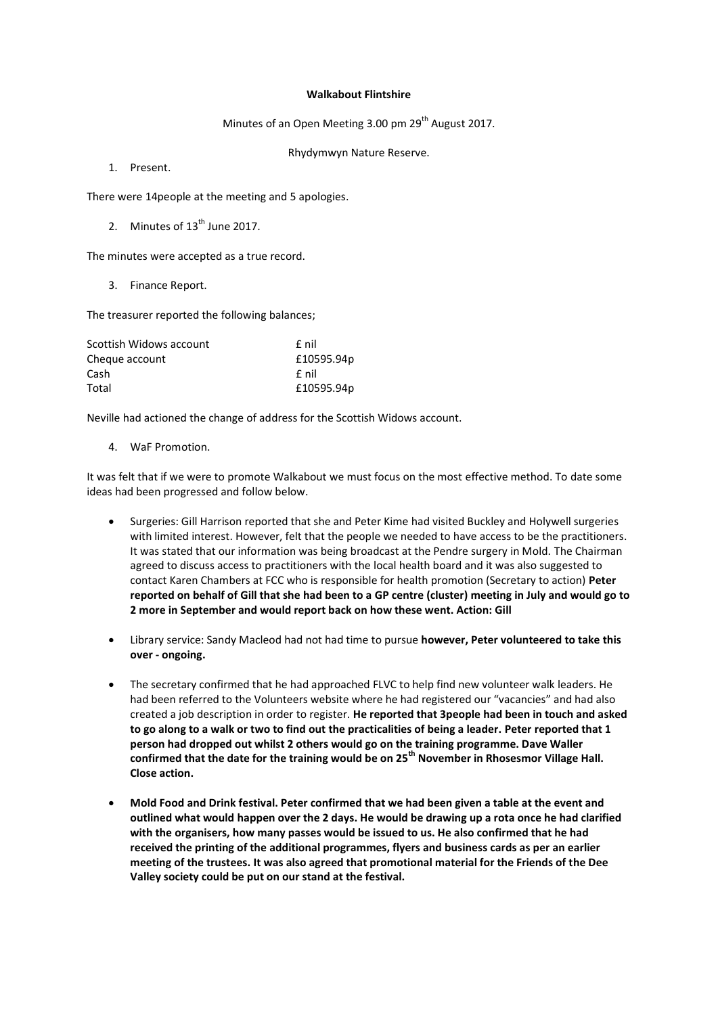## **Walkabout Flintshire**

Minutes of an Open Meeting 3.00 pm  $29<sup>th</sup>$  August 2017.

Rhydymwyn Nature Reserve.

1. Present.

There were 14people at the meeting and 5 apologies.

2. Minutes of  $13<sup>th</sup>$  June 2017.

The minutes were accepted as a true record.

3. Finance Report.

The treasurer reported the following balances;

| Scottish Widows account | f nil      |
|-------------------------|------------|
| Cheque account          | £10595.94p |
| Cash                    | f nil      |
| Total                   | £10595.94p |

Neville had actioned the change of address for the Scottish Widows account.

4. WaF Promotion.

It was felt that if we were to promote Walkabout we must focus on the most effective method. To date some ideas had been progressed and follow below.

- Surgeries: Gill Harrison reported that she and Peter Kime had visited Buckley and Holywell surgeries with limited interest. However, felt that the people we needed to have access to be the practitioners. It was stated that our information was being broadcast at the Pendre surgery in Mold. The Chairman agreed to discuss access to practitioners with the local health board and it was also suggested to contact Karen Chambers at FCC who is responsible for health promotion (Secretary to action) **Peter reported on behalf of Gill that she had been to a GP centre (cluster) meeting in July and would go to 2 more in September and would report back on how these went. Action: Gill**
- Library service: Sandy Macleod had not had time to pursue **however, Peter volunteered to take this over - ongoing.**
- The secretary confirmed that he had approached FLVC to help find new volunteer walk leaders. He had been referred to the Volunteers website where he had registered our "vacancies" and had also created a job description in order to register. **He reported that 3people had been in touch and asked to go along to a walk or two to find out the practicalities of being a leader. Peter reported that 1 person had dropped out whilst 2 others would go on the training programme. Dave Waller confirmed that the date for the training would be on 25th November in Rhosesmor Village Hall. Close action.**
- **Mold Food and Drink festival. Peter confirmed that we had been given a table at the event and outlined what would happen over the 2 days. He would be drawing up a rota once he had clarified with the organisers, how many passes would be issued to us. He also confirmed that he had received the printing of the additional programmes, flyers and business cards as per an earlier meeting of the trustees. It was also agreed that promotional material for the Friends of the Dee Valley society could be put on our stand at the festival.**